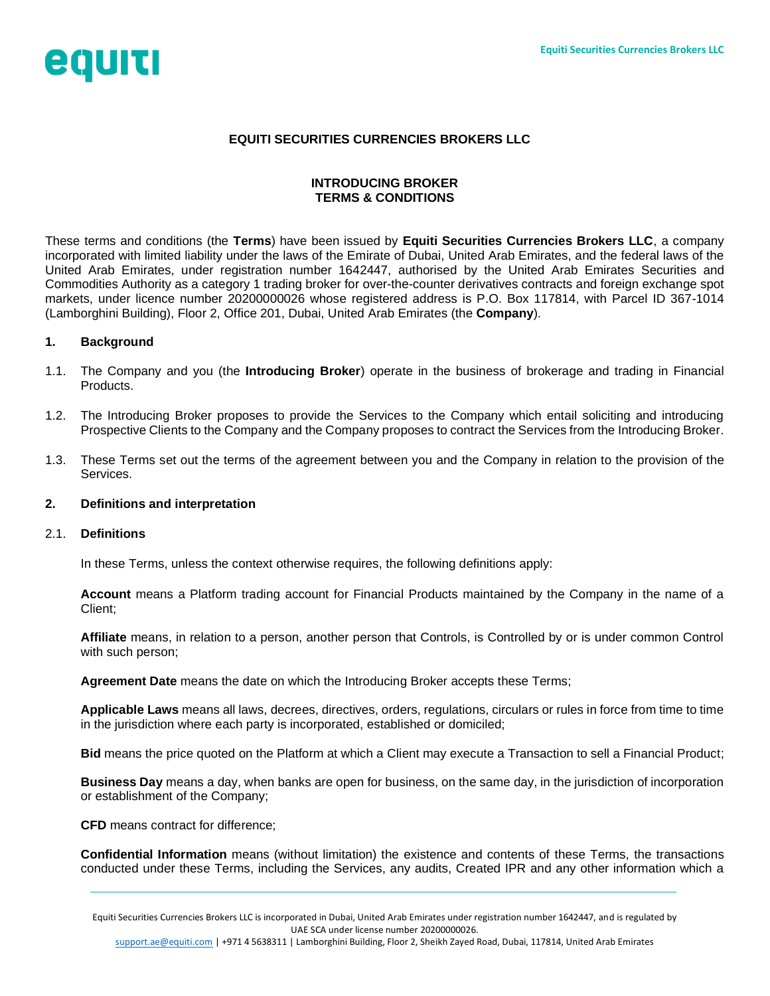

## **EQUITI SECURITIES CURRENCIES BROKERS LLC**

## **INTRODUCING BROKER TERMS & CONDITIONS**

These terms and conditions (the **Terms**) have been issued by **Equiti Securities Currencies Brokers LLC**, a company incorporated with limited liability under the laws of the Emirate of Dubai, United Arab Emirates, and the federal laws of the United Arab Emirates, under registration number 1642447, authorised by the United Arab Emirates Securities and Commodities Authority as a category 1 trading broker for over-the-counter derivatives contracts and foreign exchange spot markets, under licence number 20200000026 whose registered address is P.O. Box 117814, with Parcel ID 367-1014 (Lamborghini Building), Floor 2, Office 201, Dubai, United Arab Emirates (the **Company**).

### **1. Background**

- 1.1. The Company and you (the **Introducing Broker**) operate in the business of brokerage and trading in Financial Products.
- 1.2. The Introducing Broker proposes to provide the Services to the Company which entail soliciting and introducing Prospective Clients to the Company and the Company proposes to contract the Services from the Introducing Broker.
- 1.3. These Terms set out the terms of the agreement between you and the Company in relation to the provision of the **Services**

### <span id="page-0-0"></span>**2. Definitions and interpretation**

### 2.1. **Definitions**

In these Terms, unless the context otherwise requires, the following definitions apply:

**Account** means a Platform trading account for Financial Products maintained by the Company in the name of a Client;

**Affiliate** means, in relation to a person, another person that Controls, is Controlled by or is under common Control with such person;

**Agreement Date** means the date on which the Introducing Broker accepts these Terms;

**Applicable Laws** means all laws, decrees, directives, orders, regulations, circulars or rules in force from time to time in the jurisdiction where each party is incorporated, established or domiciled;

**Bid** means the price quoted on the Platform at which a Client may execute a Transaction to sell a Financial Product;

**Business Day** means a day, when banks are open for business, on the same day, in the jurisdiction of incorporation or establishment of the Company;

**CFD** means contract for difference;

**Confidential Information** means (without limitation) the existence and contents of these Terms, the transactions conducted under these Terms, including the Services, any audits, Created IPR and any other information which a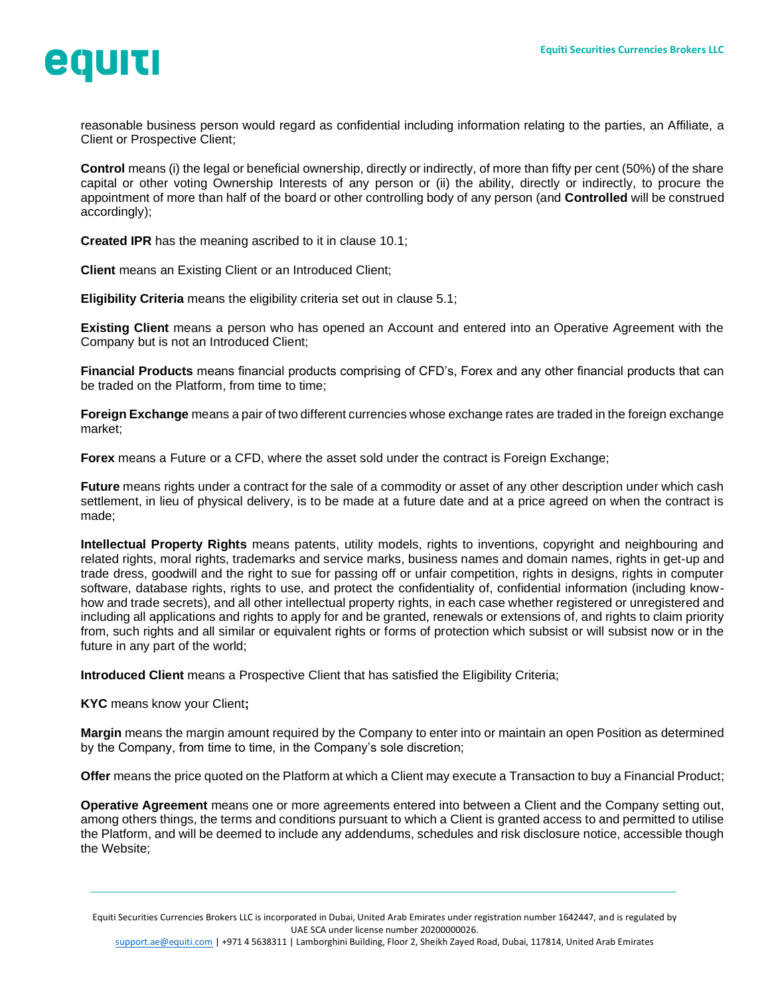

reasonable business person would regard as confidential including information relating to the parties, an Affiliate, a Client or Prospective Client;

**Control** means (i) the legal or beneficial ownership, directly or indirectly, of more than fifty per cent (50%) of the share capital or other voting Ownership Interests of any person or (ii) the ability, directly or indirectly, to procure the appointment of more than half of the board or other controlling body of any person (and **Controlled** will be construed accordingly);

**Created IPR** has the meaning ascribed to it in clause [10.1;](#page-6-0)

**Client** means an Existing Client or an Introduced Client;

**Eligibility Criteria** means the eligibility criteria set out in clause [5.1;](#page-3-0)

**Existing Client** means a person who has opened an Account and entered into an Operative Agreement with the Company but is not an Introduced Client;

**Financial Products** means financial products comprising of CFD's, Forex and any other financial products that can be traded on the Platform, from time to time;

**Foreign Exchange** means a pair of two different currencies whose exchange rates are traded in the foreign exchange market;

**Forex** means a Future or a CFD, where the asset sold under the contract is Foreign Exchange;

**Future** means rights under a contract for the sale of a commodity or asset of any other description under which cash settlement, in lieu of physical delivery, is to be made at a future date and at a price agreed on when the contract is made;

**Intellectual Property Rights** means patents, utility models, rights to inventions, copyright and neighbouring and related rights, moral rights, trademarks and service marks, business names and domain names, rights in get-up and trade dress, goodwill and the right to sue for passing off or unfair competition, rights in designs, rights in computer software, database rights, rights to use, and protect the confidentiality of, confidential information (including knowhow and trade secrets), and all other intellectual property rights, in each case whether registered or unregistered and including all applications and rights to apply for and be granted, renewals or extensions of, and rights to claim priority from, such rights and all similar or equivalent rights or forms of protection which subsist or will subsist now or in the future in any part of the world;

**Introduced Client** means a Prospective Client that has satisfied the Eligibility Criteria;

**KYC** means know your Client**;**

**Margin** means the margin amount required by the Company to enter into or maintain an open Position as determined by the Company, from time to time, in the Company's sole discretion;

**Offer** means the price quoted on the Platform at which a Client may execute a Transaction to buy a Financial Product;

**Operative Agreement** means one or more agreements entered into between a Client and the Company setting out, among others things, the terms and conditions pursuant to which a Client is granted access to and permitted to utilise the Platform, and will be deemed to include any addendums, schedules and risk disclosure notice, accessible though the Website;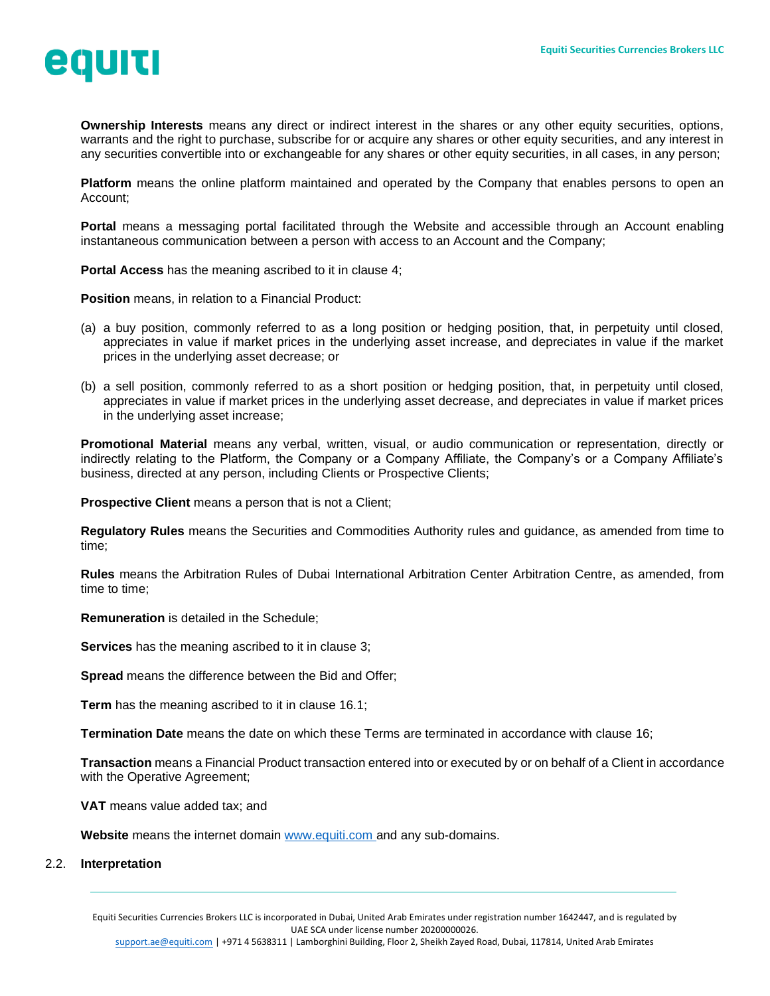

**Ownership Interests** means any direct or indirect interest in the shares or any other equity securities, options, warrants and the right to purchase, subscribe for or acquire any shares or other equity securities, and any interest in any securities convertible into or exchangeable for any shares or other equity securities, in all cases, in any person;

**Platform** means the online platform maintained and operated by the Company that enables persons to open an Account;

**Portal** means a messaging portal facilitated through the Website and accessible through an Account enabling instantaneous communication between a person with access to an Account and the Company;

**Portal Access** has the meaning ascribed to it in clause [4;](#page-3-1)

**Position** means, in relation to a Financial Product:

- (a) a buy position, commonly referred to as a long position or hedging position, that, in perpetuity until closed, appreciates in value if market prices in the underlying asset increase, and depreciates in value if the market prices in the underlying asset decrease; or
- (b) a sell position, commonly referred to as a short position or hedging position, that, in perpetuity until closed, appreciates in value if market prices in the underlying asset decrease, and depreciates in value if market prices in the underlying asset increase;

**Promotional Material** means any verbal, written, visual, or audio communication or representation, directly or indirectly relating to the Platform, the Company or a Company Affiliate, the Company's or a Company Affiliate's business, directed at any person, including Clients or Prospective Clients;

**Prospective Client** means a person that is not a Client;

**Regulatory Rules** means the Securities and Commodities Authority rules and guidance, as amended from time to time;

**Rules** means the Arbitration Rules of Dubai International Arbitration Center Arbitration Centre, as amended, from time to time;

**Remuneration** is detailed in the Schedule;

**Services** has the meaning ascribed to it in clause [3;](#page-3-2)

**Spread** means the difference between the Bid and Offer;

**Term** has the meaning ascribed to it in clause [16.1;](#page-9-0)

**Termination Date** means the date on which these Terms are terminated in accordance with clause [16;](#page-9-1)

**Transaction** means a Financial Product transaction entered into or executed by or on behalf of a Client in accordance with the Operative Agreement;

**VAT** means value added tax; and

**Website** means the internet domain [www.equiti.com](http://www.equiti.com/) and any sub-domains.

#### 2.2. **Interpretation**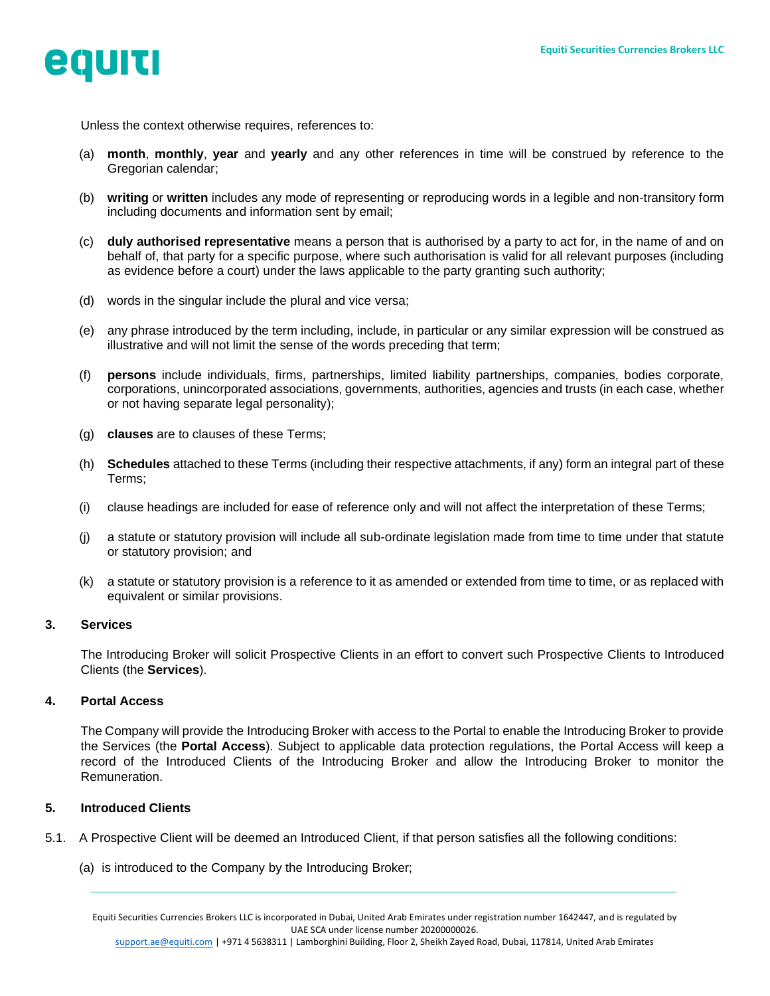

Unless the context otherwise requires, references to:

- (a) **month**, **monthly**, **year** and **yearly** and any other references in time will be construed by reference to the Gregorian calendar;
- (b) **writing** or **written** includes any mode of representing or reproducing words in a legible and non-transitory form including documents and information sent by email;
- (c) **duly authorised representative** means a person that is authorised by a party to act for, in the name of and on behalf of, that party for a specific purpose, where such authorisation is valid for all relevant purposes (including as evidence before a court) under the laws applicable to the party granting such authority;
- (d) words in the singular include the plural and vice versa;
- (e) any phrase introduced by the term including, include, in particular or any similar expression will be construed as illustrative and will not limit the sense of the words preceding that term;
- (f) **persons** include individuals, firms, partnerships, limited liability partnerships, companies, bodies corporate, corporations, unincorporated associations, governments, authorities, agencies and trusts (in each case, whether or not having separate legal personality);
- (g) **clauses** are to clauses of these Terms;
- (h) **Schedules** attached to these Terms (including their respective attachments, if any) form an integral part of these Terms;
- (i) clause headings are included for ease of reference only and will not affect the interpretation of these Terms;
- (j) a statute or statutory provision will include all sub-ordinate legislation made from time to time under that statute or statutory provision; and
- (k) a statute or statutory provision is a reference to it as amended or extended from time to time, or as replaced with equivalent or similar provisions.

### <span id="page-3-2"></span>**3. Services**

The Introducing Broker will solicit Prospective Clients in an effort to convert such Prospective Clients to Introduced Clients (the **Services**).

### <span id="page-3-1"></span>**4. Portal Access**

The Company will provide the Introducing Broker with access to the Portal to enable the Introducing Broker to provide the Services (the **Portal Access**). Subject to applicable data protection regulations, the Portal Access will keep a record of the Introduced Clients of the Introducing Broker and allow the Introducing Broker to monitor the Remuneration.

### **5. Introduced Clients**

- <span id="page-3-0"></span>5.1. A Prospective Client will be deemed an Introduced Client, if that person satisfies all the following conditions:
	- (a) is introduced to the Company by the Introducing Broker;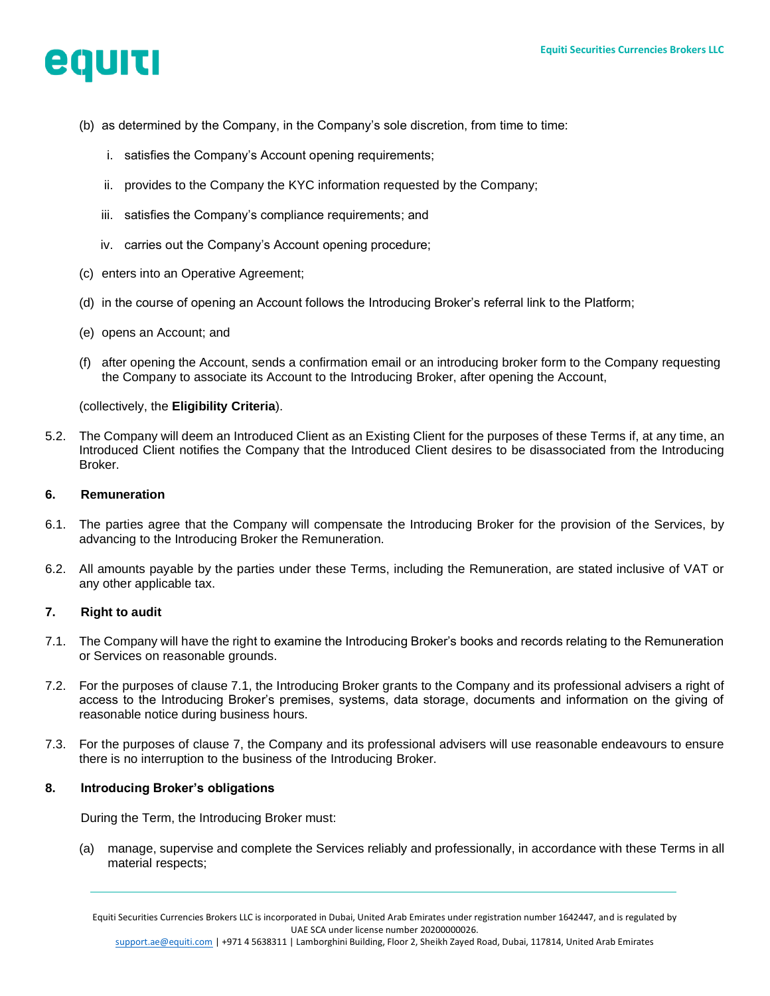

- (b) as determined by the Company, in the Company's sole discretion, from time to time:
	- i. satisfies the Company's Account opening requirements;
	- ii. provides to the Company the KYC information requested by the Company;
	- iii. satisfies the Company's compliance requirements; and
	- iv. carries out the Company's Account opening procedure;
- (c) enters into an Operative Agreement;
- (d) in the course of opening an Account follows the Introducing Broker's referral link to the Platform;
- (e) opens an Account; and
- (f) after opening the Account, sends a confirmation email or an introducing broker form to the Company requesting the Company to associate its Account to the Introducing Broker, after opening the Account,

## (collectively, the **Eligibility Criteria**).

5.2. The Company will deem an Introduced Client as an Existing Client for the purposes of these Terms if, at any time, an Introduced Client notifies the Company that the Introduced Client desires to be disassociated from the Introducing Broker.

### **6. Remuneration**

- 6.1. The parties agree that the Company will compensate the Introducing Broker for the provision of the Services, by advancing to the Introducing Broker the Remuneration.
- 6.2. All amounts payable by the parties under these Terms, including the Remuneration, are stated inclusive of VAT or any other applicable tax.

### <span id="page-4-2"></span><span id="page-4-1"></span>**7. Right to audit**

- <span id="page-4-0"></span>7.1. The Company will have the right to examine the Introducing Broker's books and records relating to the Remuneration or Services on reasonable grounds.
- 7.2. For the purposes of clause [7.1,](#page-4-0) the Introducing Broker grants to the Company and its professional advisers a right of access to the Introducing Broker's premises, systems, data storage, documents and information on the giving of reasonable notice during business hours.
- 7.3. For the purposes of clause [7,](#page-4-1) the Company and its professional advisers will use reasonable endeavours to ensure there is no interruption to the business of the Introducing Broker.

### **8. Introducing Broker's obligations**

During the Term, the Introducing Broker must:

(a) manage, supervise and complete the Services reliably and professionally, in accordance with these Terms in all material respects;

Equiti Securities Currencies Brokers LLC is incorporated in Dubai, United Arab Emirates under registration number 1642447, and is regulated by UAE SCA under license number 20200000026.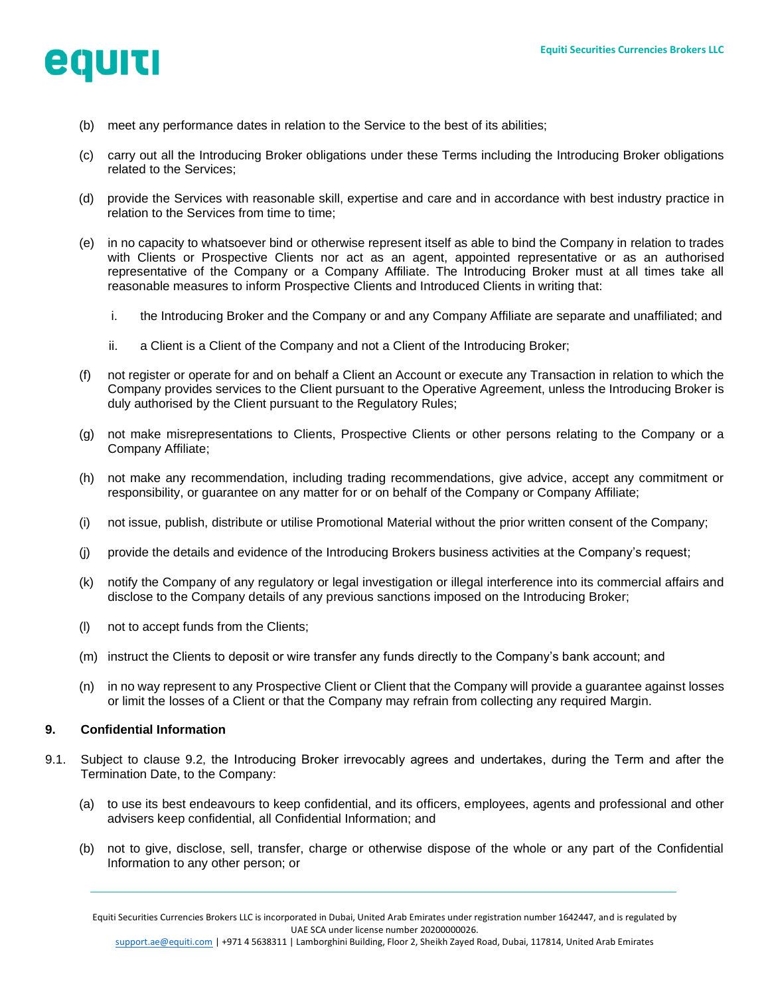

- (b) meet any performance dates in relation to the Service to the best of its abilities;
- (c) carry out all the Introducing Broker obligations under these Terms including the Introducing Broker obligations related to the Services;
- (d) provide the Services with reasonable skill, expertise and care and in accordance with best industry practice in relation to the Services from time to time;
- (e) in no capacity to whatsoever bind or otherwise represent itself as able to bind the Company in relation to trades with Clients or Prospective Clients nor act as an agent, appointed representative or as an authorised representative of the Company or a Company Affiliate. The Introducing Broker must at all times take all reasonable measures to inform Prospective Clients and Introduced Clients in writing that:
	- i. the Introducing Broker and the Company or and any Company Affiliate are separate and unaffiliated; and
	- ii. a Client is a Client of the Company and not a Client of the Introducing Broker;
- (f) not register or operate for and on behalf a Client an Account or execute any Transaction in relation to which the Company provides services to the Client pursuant to the Operative Agreement, unless the Introducing Broker is duly authorised by the Client pursuant to the Regulatory Rules;
- (g) not make misrepresentations to Clients, Prospective Clients or other persons relating to the Company or a Company Affiliate;
- (h) not make any recommendation, including trading recommendations, give advice, accept any commitment or responsibility, or guarantee on any matter for or on behalf of the Company or Company Affiliate;
- (i) not issue, publish, distribute or utilise Promotional Material without the prior written consent of the Company;
- (j) provide the details and evidence of the Introducing Brokers business activities at the Company's request;
- (k) notify the Company of any regulatory or legal investigation or illegal interference into its commercial affairs and disclose to the Company details of any previous sanctions imposed on the Introducing Broker;
- (l) not to accept funds from the Clients;
- (m) instruct the Clients to deposit or wire transfer any funds directly to the Company's bank account; and
- (n) in no way represent to any Prospective Client or Client that the Company will provide a guarantee against losses or limit the losses of a Client or that the Company may refrain from collecting any required Margin.

### <span id="page-5-1"></span>**9. Confidential Information**

- <span id="page-5-0"></span>9.1. Subject to clause 9.2, the Introducing Broker irrevocably agrees and undertakes, during the Term and after the Termination Date, to the Company:
	- (a) to use its best endeavours to keep confidential, and its officers, employees, agents and professional and other advisers keep confidential, all Confidential Information; and
	- (b) not to give, disclose, sell, transfer, charge or otherwise dispose of the whole or any part of the Confidential Information to any other person; or

Equiti Securities Currencies Brokers LLC is incorporated in Dubai, United Arab Emirates under registration number 1642447, and is regulated by UAE SCA under license number 20200000026.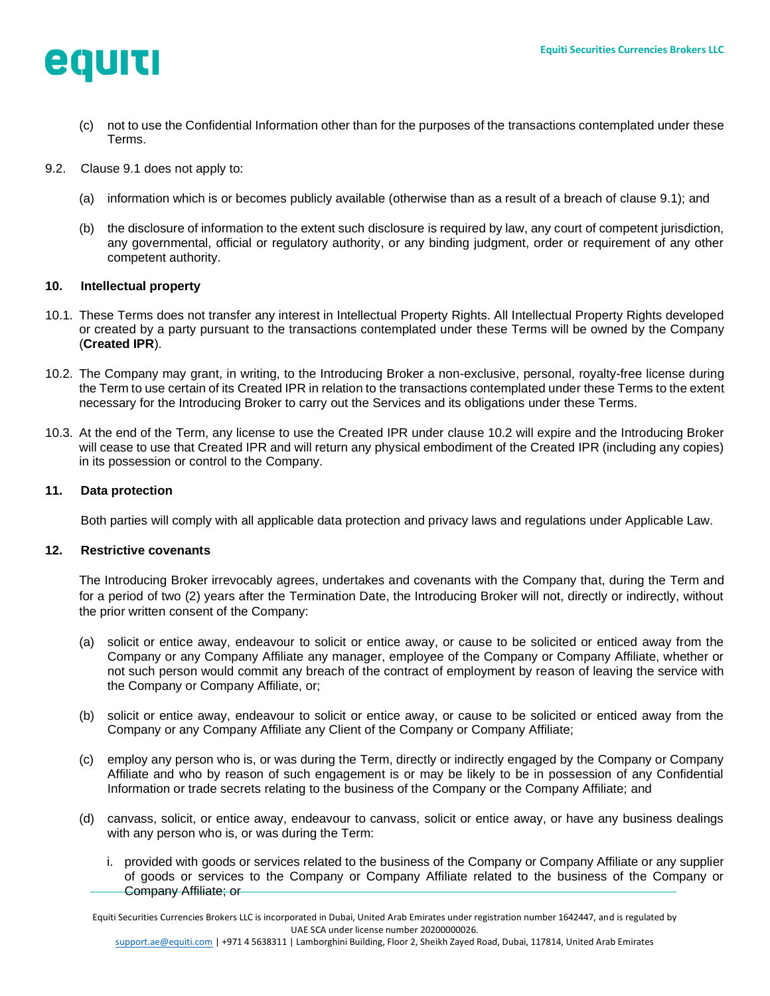

- (c) not to use the Confidential Information other than for the purposes of the transactions contemplated under these Terms.
- <span id="page-6-1"></span>9.2. Clause [9.1](#page-5-0) does not apply to:
	- (a) information which is or becomes publicly available (otherwise than as a result of a breach of clause [9.1\)](#page-5-0); and
	- (b) the disclosure of information to the extent such disclosure is required by law, any court of competent jurisdiction, any governmental, official or regulatory authority, or any binding judgment, order or requirement of any other competent authority.

### <span id="page-6-4"></span>**10. Intellectual property**

- <span id="page-6-0"></span>10.1. These Terms does not transfer any interest in Intellectual Property Rights. All Intellectual Property Rights developed or created by a party pursuant to the transactions contemplated under these Terms will be owned by the Company (**Created IPR**).
- <span id="page-6-2"></span>10.2. The Company may grant, in writing, to the Introducing Broker a non-exclusive, personal, royalty-free license during the Term to use certain of its Created IPR in relation to the transactions contemplated under these Terms to the extent necessary for the Introducing Broker to carry out the Services and its obligations under these Terms.
- 10.3. At the end of the Term, any license to use the Created IPR under clause [10.2](#page-6-2) will expire and the Introducing Broker will cease to use that Created IPR and will return any physical embodiment of the Created IPR (including any copies) in its possession or control to the Company.

### <span id="page-6-5"></span>**11. Data protection**

Both parties will comply with all applicable data protection and privacy laws and regulations under Applicable Law.

### <span id="page-6-3"></span>**12. Restrictive covenants**

The Introducing Broker irrevocably agrees, undertakes and covenants with the Company that, during the Term and for a period of two (2) years after the Termination Date, the Introducing Broker will not, directly or indirectly, without the prior written consent of the Company:

- (a) solicit or entice away, endeavour to solicit or entice away, or cause to be solicited or enticed away from the Company or any Company Affiliate any manager, employee of the Company or Company Affiliate, whether or not such person would commit any breach of the contract of employment by reason of leaving the service with the Company or Company Affiliate, or;
- (b) solicit or entice away, endeavour to solicit or entice away, or cause to be solicited or enticed away from the Company or any Company Affiliate any Client of the Company or Company Affiliate;
- (c) employ any person who is, or was during the Term, directly or indirectly engaged by the Company or Company Affiliate and who by reason of such engagement is or may be likely to be in possession of any Confidential Information or trade secrets relating to the business of the Company or the Company Affiliate; and
- (d) canvass, solicit, or entice away, endeavour to canvass, solicit or entice away, or have any business dealings with any person who is, or was during the Term:
	- i. provided with goods or services related to the business of the Company or Company Affiliate or any supplier of goods or services to the Company or Company Affiliate related to the business of the Company or Company Affiliate; or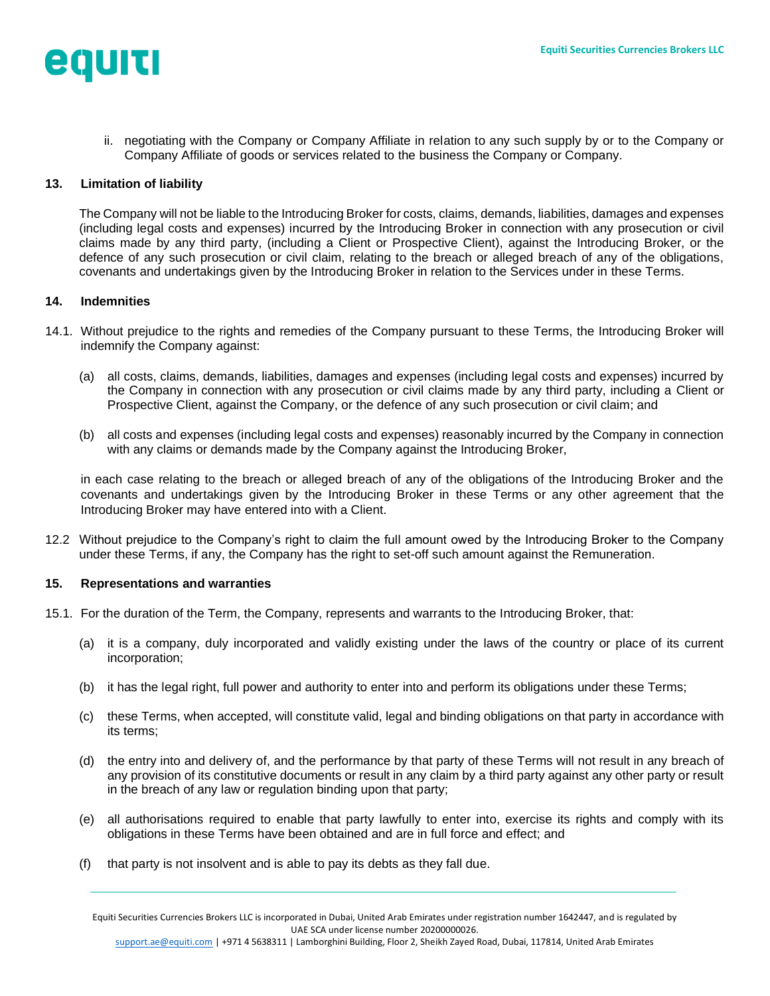

ii. negotiating with the Company or Company Affiliate in relation to any such supply by or to the Company or Company Affiliate of goods or services related to the business the Company or Company.

## <span id="page-7-1"></span>**13. Limitation of liability**

The Company will not be liable to the Introducing Broker for costs, claims, demands, liabilities, damages and expenses (including legal costs and expenses) incurred by the Introducing Broker in connection with any prosecution or civil claims made by any third party, (including a Client or Prospective Client), against the Introducing Broker, or the defence of any such prosecution or civil claim, relating to the breach or alleged breach of any of the obligations, covenants and undertakings given by the Introducing Broker in relation to the Services under in these Terms.

### <span id="page-7-2"></span>**14. Indemnities**

- 14.1. Without prejudice to the rights and remedies of the Company pursuant to these Terms, the Introducing Broker will indemnify the Company against:
	- (a) all costs, claims, demands, liabilities, damages and expenses (including legal costs and expenses) incurred by the Company in connection with any prosecution or civil claims made by any third party, including a Client or Prospective Client, against the Company, or the defence of any such prosecution or civil claim; and
	- (b) all costs and expenses (including legal costs and expenses) reasonably incurred by the Company in connection with any claims or demands made by the Company against the Introducing Broker,

in each case relating to the breach or alleged breach of any of the obligations of the Introducing Broker and the covenants and undertakings given by the Introducing Broker in these Terms or any other agreement that the Introducing Broker may have entered into with a Client.

12.2 Without prejudice to the Company's right to claim the full amount owed by the Introducing Broker to the Company under these Terms, if any, the Company has the right to set-off such amount against the Remuneration.

#### <span id="page-7-0"></span>**15. Representations and warranties**

- 15.1. For the duration of the Term, the Company, represents and warrants to the Introducing Broker, that:
	- (a) it is a company, duly incorporated and validly existing under the laws of the country or place of its current incorporation;
	- (b) it has the legal right, full power and authority to enter into and perform its obligations under these Terms;
	- (c) these Terms, when accepted, will constitute valid, legal and binding obligations on that party in accordance with its terms;
	- (d) the entry into and delivery of, and the performance by that party of these Terms will not result in any breach of any provision of its constitutive documents or result in any claim by a third party against any other party or result in the breach of any law or regulation binding upon that party;
	- (e) all authorisations required to enable that party lawfully to enter into, exercise its rights and comply with its obligations in these Terms have been obtained and are in full force and effect; and
	- (f) that party is not insolvent and is able to pay its debts as they fall due.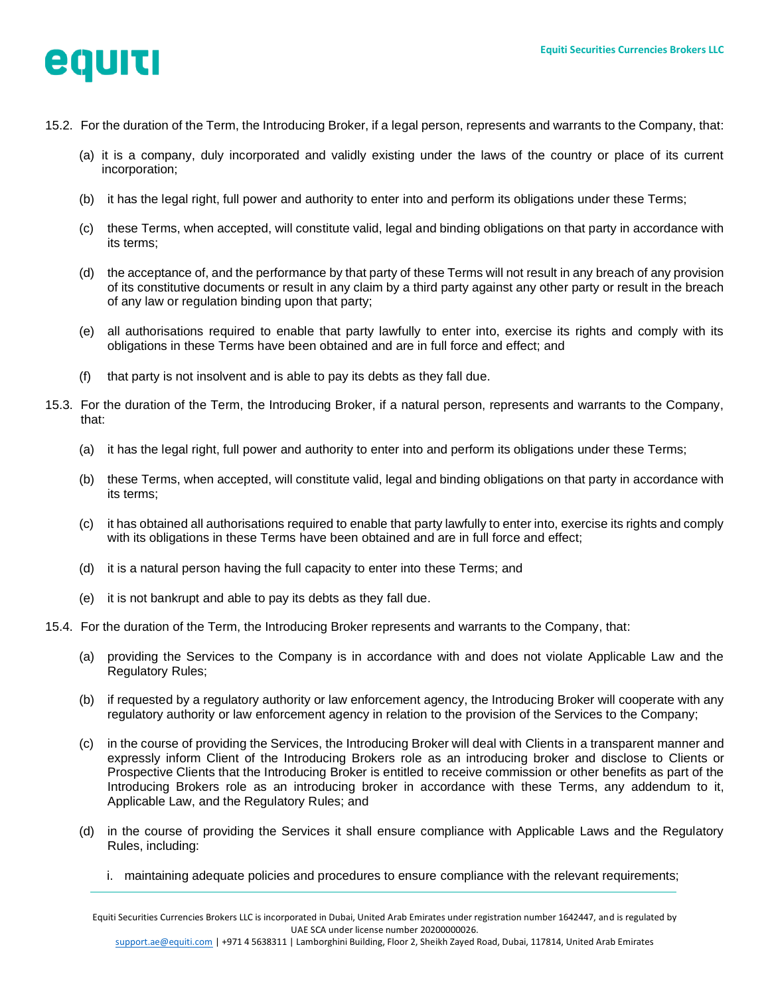

- 15.2. For the duration of the Term, the Introducing Broker, if a legal person, represents and warrants to the Company, that:
	- (a) it is a company, duly incorporated and validly existing under the laws of the country or place of its current incorporation;
	- (b) it has the legal right, full power and authority to enter into and perform its obligations under these Terms;
	- (c) these Terms, when accepted, will constitute valid, legal and binding obligations on that party in accordance with its terms;
	- (d) the acceptance of, and the performance by that party of these Terms will not result in any breach of any provision of its constitutive documents or result in any claim by a third party against any other party or result in the breach of any law or regulation binding upon that party;
	- (e) all authorisations required to enable that party lawfully to enter into, exercise its rights and comply with its obligations in these Terms have been obtained and are in full force and effect; and
	- (f) that party is not insolvent and is able to pay its debts as they fall due.
- 15.3. For the duration of the Term, the Introducing Broker, if a natural person, represents and warrants to the Company, that:
	- (a) it has the legal right, full power and authority to enter into and perform its obligations under these Terms;
	- (b) these Terms, when accepted, will constitute valid, legal and binding obligations on that party in accordance with its terms;
	- (c) it has obtained all authorisations required to enable that party lawfully to enter into, exercise its rights and comply with its obligations in these Terms have been obtained and are in full force and effect;
	- (d) it is a natural person having the full capacity to enter into these Terms; and
	- (e) it is not bankrupt and able to pay its debts as they fall due.
- 15.4. For the duration of the Term, the Introducing Broker represents and warrants to the Company, that:
	- (a) providing the Services to the Company is in accordance with and does not violate Applicable Law and the Regulatory Rules;
	- (b) if requested by a regulatory authority or law enforcement agency, the Introducing Broker will cooperate with any regulatory authority or law enforcement agency in relation to the provision of the Services to the Company;
	- (c) in the course of providing the Services, the Introducing Broker will deal with Clients in a transparent manner and expressly inform Client of the Introducing Brokers role as an introducing broker and disclose to Clients or Prospective Clients that the Introducing Broker is entitled to receive commission or other benefits as part of the Introducing Brokers role as an introducing broker in accordance with these Terms, any addendum to it, Applicable Law, and the Regulatory Rules; and
	- (d) in the course of providing the Services it shall ensure compliance with Applicable Laws and the Regulatory Rules, including:
		- i. maintaining adequate policies and procedures to ensure compliance with the relevant requirements;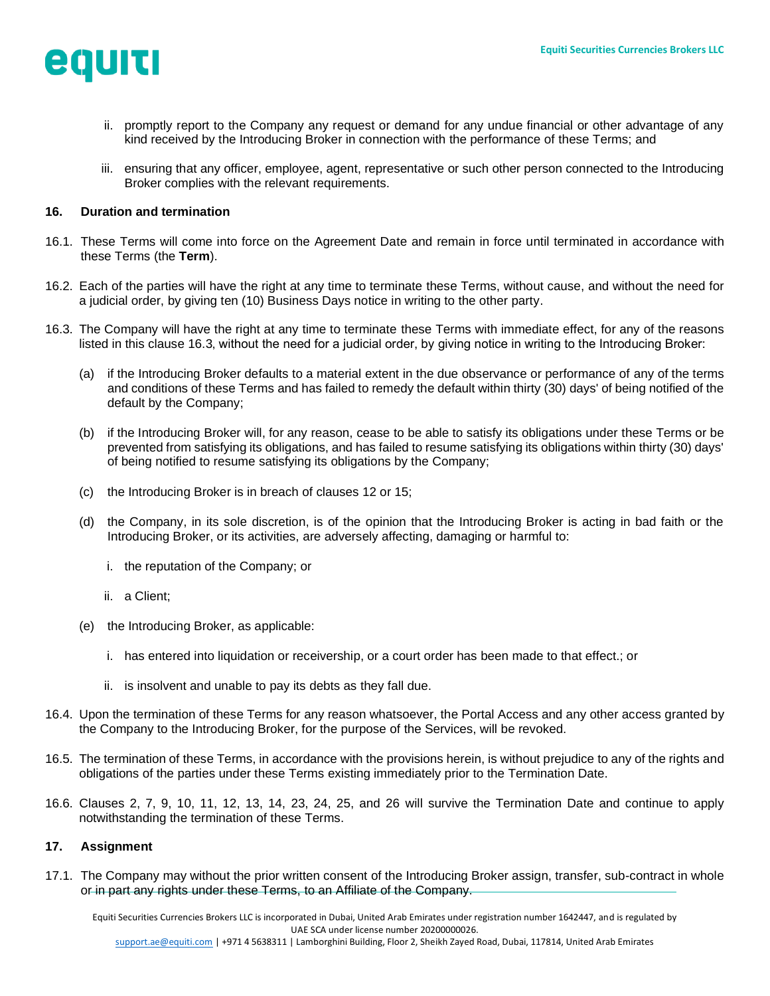

- ii. promptly report to the Company any request or demand for any undue financial or other advantage of any kind received by the Introducing Broker in connection with the performance of these Terms; and
- iii. ensuring that any officer, employee, agent, representative or such other person connected to the Introducing Broker complies with the relevant requirements.

## <span id="page-9-1"></span>**16. Duration and termination**

- <span id="page-9-0"></span>16.1. These Terms will come into force on the Agreement Date and remain in force until terminated in accordance with these Terms (the **Term**).
- 16.2. Each of the parties will have the right at any time to terminate these Terms, without cause, and without the need for a judicial order, by giving ten (10) Business Days notice in writing to the other party.
- <span id="page-9-2"></span>16.3. The Company will have the right at any time to terminate these Terms with immediate effect, for any of the reasons listed in this clause 16.3, without the need for a judicial order, by giving notice in writing to the Introducing Broker:
	- (a) if the Introducing Broker defaults to a material extent in the due observance or performance of any of the terms and conditions of these Terms and has failed to remedy the default within thirty (30) days' of being notified of the default by the Company;
	- (b) if the Introducing Broker will, for any reason, cease to be able to satisfy its obligations under these Terms or be prevented from satisfying its obligations, and has failed to resume satisfying its obligations within thirty (30) days' of being notified to resume satisfying its obligations by the Company;
	- (c) the Introducing Broker is in breach of clauses [12](#page-6-3) or [15;](#page-7-0)
	- (d) the Company, in its sole discretion, is of the opinion that the Introducing Broker is acting in bad faith or the Introducing Broker, or its activities, are adversely affecting, damaging or harmful to:
		- i. the reputation of the Company; or
		- ii. a Client;
	- (e) the Introducing Broker, as applicable:
		- i. has entered into liquidation or receivership, or a court order has been made to that effect.; or
		- ii. is insolvent and unable to pay its debts as they fall due.
- 16.4. Upon the termination of these Terms for any reason whatsoever, the Portal Access and any other access granted by the Company to the Introducing Broker, for the purpose of the Services, will be revoked.
- 16.5. The termination of these Terms, in accordance with the provisions herein, is without prejudice to any of the rights and obligations of the parties under these Terms existing immediately prior to the Termination Date.
- 16.6. Clauses [2,](#page-0-0) [7,](#page-4-2) [9,](#page-5-1) [10,](#page-6-4) [11,](#page-6-5) [12,](#page-6-3) [13,](#page-7-1) [14,](#page-7-2) [23,](#page-10-0) [24,](#page-10-1) [25,](#page-11-0) and [26](#page-11-1) will survive the Termination Date and continue to apply notwithstanding the termination of these Terms.

### <span id="page-9-3"></span>**17. Assignment**

17.1. The Company may without the prior written consent of the Introducing Broker assign, transfer, sub-contract in whole or in part any rights under these Terms, to an Affiliate of the Company.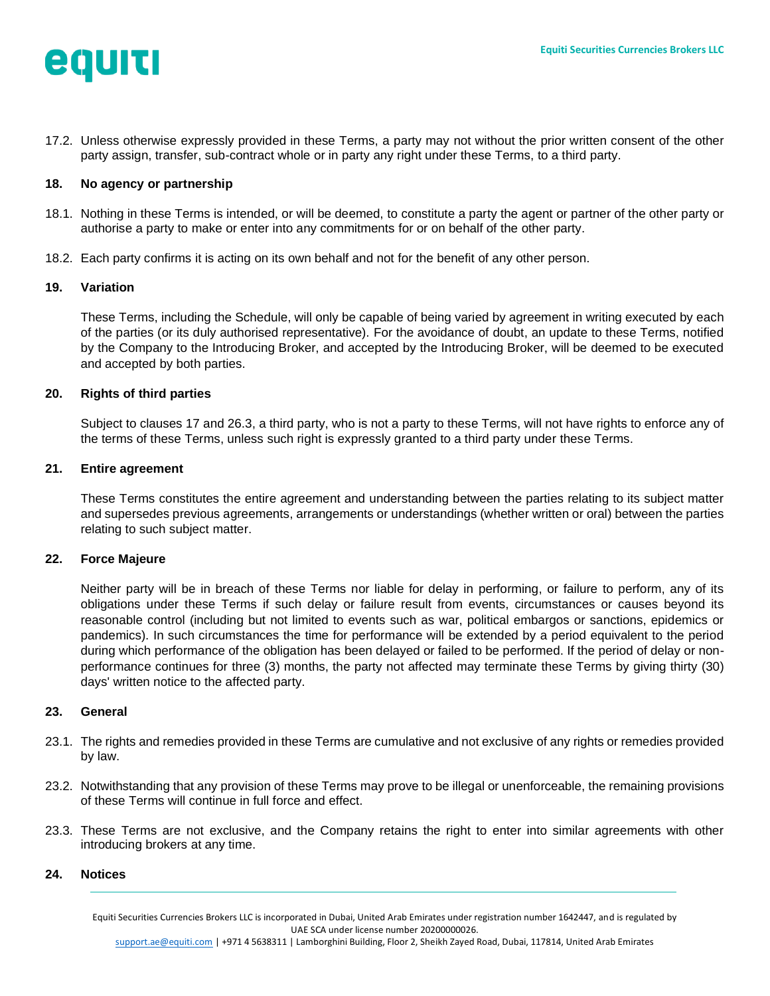

17.2. Unless otherwise expressly provided in these Terms, a party may not without the prior written consent of the other party assign, transfer, sub-contract whole or in party any right under these Terms, to a third party.

### **18. No agency or partnership**

- 18.1. Nothing in these Terms is intended, or will be deemed, to constitute a party the agent or partner of the other party or authorise a party to make or enter into any commitments for or on behalf of the other party.
- 18.2. Each party confirms it is acting on its own behalf and not for the benefit of any other person.

#### **19. Variation**

These Terms, including the Schedule, will only be capable of being varied by agreement in writing executed by each of the parties (or its duly authorised representative). For the avoidance of doubt, an update to these Terms, notified by the Company to the Introducing Broker, and accepted by the Introducing Broker, will be deemed to be executed and accepted by both parties.

## **20. Rights of third parties**

Subject to clauses [17](#page-9-3) and [26.3,](#page-12-0) a third party, who is not a party to these Terms, will not have rights to enforce any of the terms of these Terms, unless such right is expressly granted to a third party under these Terms.

#### **21. Entire agreement**

These Terms constitutes the entire agreement and understanding between the parties relating to its subject matter and supersedes previous agreements, arrangements or understandings (whether written or oral) between the parties relating to such subject matter.

#### **22. Force Majeure**

Neither party will be in breach of these Terms nor liable for delay in performing, or failure to perform, any of its obligations under these Terms if such delay or failure result from events, circumstances or causes beyond its reasonable control (including but not limited to events such as war, political embargos or sanctions, epidemics or pandemics). In such circumstances the time for performance will be extended by a period equivalent to the period during which performance of the obligation has been delayed or failed to be performed. If the period of delay or nonperformance continues for three (3) months, the party not affected may terminate these Terms by giving thirty (30) days' written notice to the affected party.

#### <span id="page-10-0"></span>**23. General**

- 23.1. The rights and remedies provided in these Terms are cumulative and not exclusive of any rights or remedies provided by law.
- 23.2. Notwithstanding that any provision of these Terms may prove to be illegal or unenforceable, the remaining provisions of these Terms will continue in full force and effect.
- 23.3. These Terms are not exclusive, and the Company retains the right to enter into similar agreements with other introducing brokers at any time.

### <span id="page-10-1"></span>**24. Notices**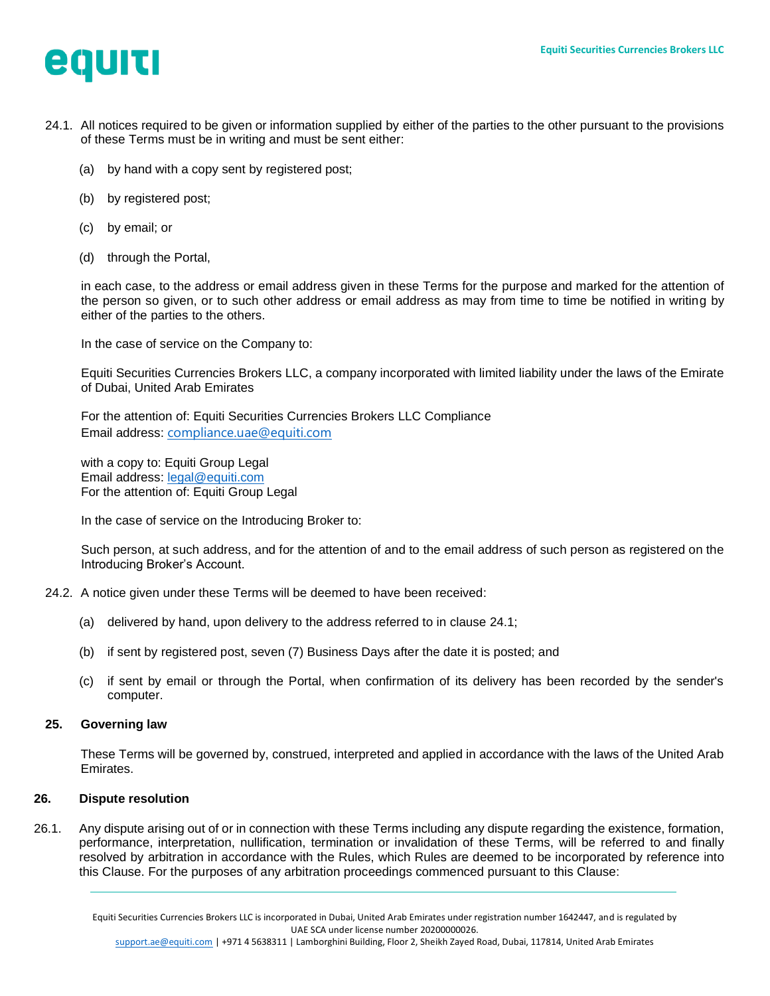

- <span id="page-11-2"></span>24.1. All notices required to be given or information supplied by either of the parties to the other pursuant to the provisions of these Terms must be in writing and must be sent either:
	- (a) by hand with a copy sent by registered post;
	- (b) by registered post;
	- (c) by email; or
	- (d) through the Portal,

in each case, to the address or email address given in these Terms for the purpose and marked for the attention of the person so given, or to such other address or email address as may from time to time be notified in writing by either of the parties to the others.

In the case of service on the Company to:

Equiti Securities Currencies Brokers LLC, a company incorporated with limited liability under the laws of the Emirate of Dubai, United Arab Emirates

For the attention of: Equiti Securities Currencies Brokers LLC Compliance Email address: [compliance.uae@equiti.com](mailto:compliance.uae@equiti.com)

with a copy to: Equiti Group Legal Email address: [legal@equiti.com](mailto:legal@equiti.com)  For the attention of: Equiti Group Legal

In the case of service on the Introducing Broker to:

Such person, at such address, and for the attention of and to the email address of such person as registered on the Introducing Broker's Account.

- 24.2. A notice given under these Terms will be deemed to have been received:
	- (a) delivered by hand, upon delivery to the address referred to in clause [24.1;](#page-11-2)
	- (b) if sent by registered post, seven (7) Business Days after the date it is posted; and
	- (c) if sent by email or through the Portal, when confirmation of its delivery has been recorded by the sender's computer.

#### <span id="page-11-0"></span>**25. Governing law**

These Terms will be governed by, construed, interpreted and applied in accordance with the laws of the United Arab Emirates.

### <span id="page-11-1"></span>**26. Dispute resolution**

<span id="page-11-3"></span>26.1. Any dispute arising out of or in connection with these Terms including any dispute regarding the existence, formation, performance, interpretation, nullification, termination or invalidation of these Terms, will be referred to and finally resolved by arbitration in accordance with the Rules, which Rules are deemed to be incorporated by reference into this Clause. For the purposes of any arbitration proceedings commenced pursuant to this Clause: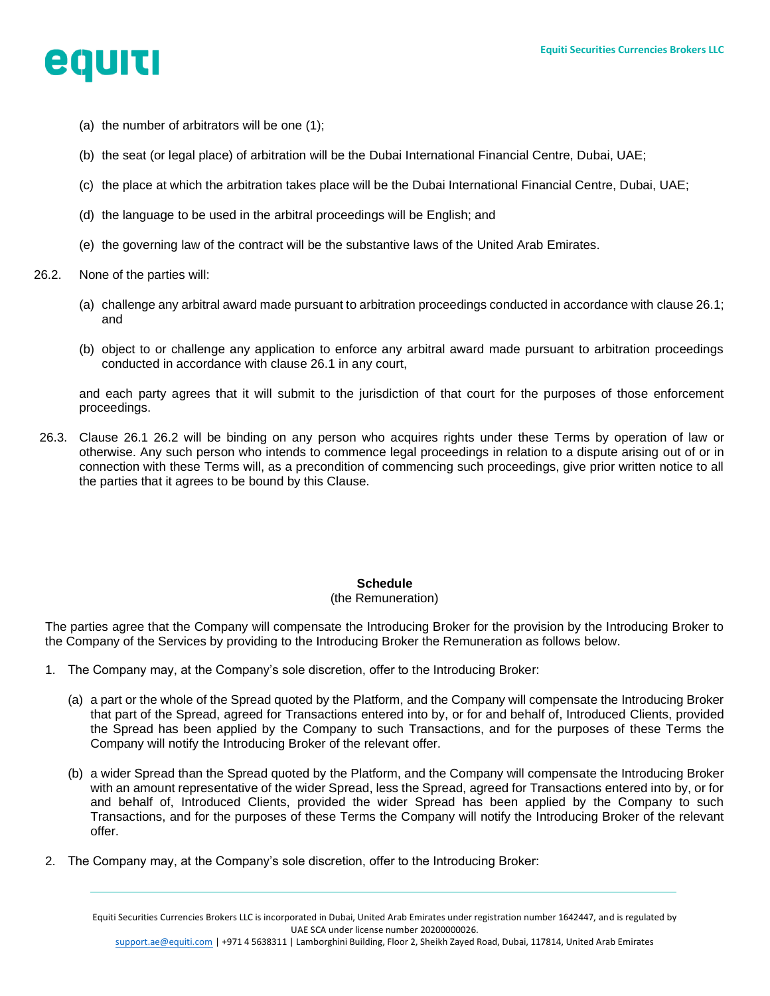

- (a) the number of arbitrators will be one (1);
- (b) the seat (or legal place) of arbitration will be the Dubai International Financial Centre, Dubai, UAE;
- (c) the place at which the arbitration takes place will be the Dubai International Financial Centre, Dubai, UAE;
- (d) the language to be used in the arbitral proceedings will be English; and
- (e) the governing law of the contract will be the substantive laws of the United Arab Emirates.
- <span id="page-12-1"></span>26.2. None of the parties will:
	- (a) challenge any arbitral award made pursuant to arbitration proceedings conducted in accordance with clause [26.1;](#page-11-3) and
	- (b) object to or challenge any application to enforce any arbitral award made pursuant to arbitration proceedings conducted in accordance with clause [26.1](#page-11-3) in any court,

and each party agrees that it will submit to the jurisdiction of that court for the purposes of those enforcement proceedings.

<span id="page-12-0"></span>26.3. Clause [26.1](#page-11-3) [26.2](#page-12-1) will be binding on any person who acquires rights under these Terms by operation of law or otherwise. Any such person who intends to commence legal proceedings in relation to a dispute arising out of or in connection with these Terms will, as a precondition of commencing such proceedings, give prior written notice to all the parties that it agrees to be bound by this Clause.

# **Schedule**

### (the Remuneration)

The parties agree that the Company will compensate the Introducing Broker for the provision by the Introducing Broker to the Company of the Services by providing to the Introducing Broker the Remuneration as follows below.

- 1. The Company may, at the Company's sole discretion, offer to the Introducing Broker:
	- (a) a part or the whole of the Spread quoted by the Platform, and the Company will compensate the Introducing Broker that part of the Spread, agreed for Transactions entered into by, or for and behalf of, Introduced Clients, provided the Spread has been applied by the Company to such Transactions, and for the purposes of these Terms the Company will notify the Introducing Broker of the relevant offer.
	- (b) a wider Spread than the Spread quoted by the Platform, and the Company will compensate the Introducing Broker with an amount representative of the wider Spread, less the Spread, agreed for Transactions entered into by, or for and behalf of, Introduced Clients, provided the wider Spread has been applied by the Company to such Transactions, and for the purposes of these Terms the Company will notify the Introducing Broker of the relevant offer.
- 2. The Company may, at the Company's sole discretion, offer to the Introducing Broker: